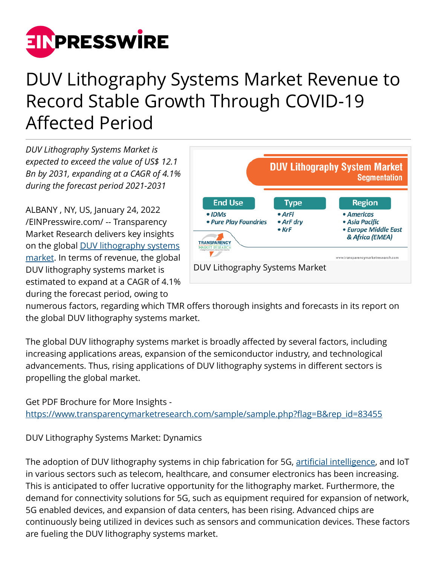

## DUV Lithography Systems Market Revenue to Record Stable Growth Through COVID-19 Affected Period

*DUV Lithography Systems Market is expected to exceed the value of US\$ 12.1 Bn by 2031, expanding at a CAGR of 4.1% during the forecast period 2021-2031*

ALBANY , NY, US, January 24, 2022 [/EINPresswire.com/](http://www.einpresswire.com) -- Transparency Market Research delivers key insights on the global [DUV lithography systems](https://www.transparencymarketresearch.com/duv-lithography-systems-market.html) [market.](https://www.transparencymarketresearch.com/duv-lithography-systems-market.html) In terms of revenue, the global DUV lithography systems market is estimated to expand at a CAGR of 4.1% during the forecast period, owing to



numerous factors, regarding which TMR offers thorough insights and forecasts in its report on the global DUV lithography systems market.

The global DUV lithography systems market is broadly affected by several factors, including increasing applications areas, expansion of the semiconductor industry, and technological advancements. Thus, rising applications of DUV lithography systems in different sectors is propelling the global market.

Get PDF Brochure for More Insights [https://www.transparencymarketresearch.com/sample/sample.php?flag=B&rep\\_id=83455](https://www.transparencymarketresearch.com/sample/sample.php?flag=B&rep_id=83455)

DUV Lithography Systems Market: Dynamics

The adoption of DUV lithography systems in chip fabrication for 5G, [artificial intelligence,](https://www.prnewswire.com/news-releases/artificial-intelligence-market-valuable-applications-for-host-of-functions-across-a-spectrum-of-industries-extends-lucrative-growth-opportunities-explains-worth-predicted-to-surpass-us-2-8-bn-by-2030---tmr-301282109.html) and IoT in various sectors such as telecom, healthcare, and consumer electronics has been increasing. This is anticipated to offer lucrative opportunity for the lithography market. Furthermore, the demand for connectivity solutions for 5G, such as equipment required for expansion of network, 5G enabled devices, and expansion of data centers, has been rising. Advanced chips are continuously being utilized in devices such as sensors and communication devices. These factors are fueling the DUV lithography systems market.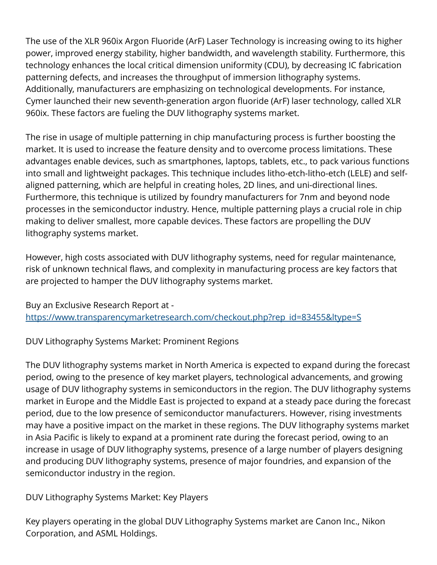The use of the XLR 960ix Argon Fluoride (ArF) Laser Technology is increasing owing to its higher power, improved energy stability, higher bandwidth, and wavelength stability. Furthermore, this technology enhances the local critical dimension uniformity (CDU), by decreasing IC fabrication patterning defects, and increases the throughput of immersion lithography systems. Additionally, manufacturers are emphasizing on technological developments. For instance, Cymer launched their new seventh-generation argon fluoride (ArF) laser technology, called XLR 960ix. These factors are fueling the DUV lithography systems market.

The rise in usage of multiple patterning in chip manufacturing process is further boosting the market. It is used to increase the feature density and to overcome process limitations. These advantages enable devices, such as smartphones, laptops, tablets, etc., to pack various functions into small and lightweight packages. This technique includes litho-etch-litho-etch (LELE) and selfaligned patterning, which are helpful in creating holes, 2D lines, and uni-directional lines. Furthermore, this technique is utilized by foundry manufacturers for 7nm and beyond node processes in the semiconductor industry. Hence, multiple patterning plays a crucial role in chip making to deliver smallest, more capable devices. These factors are propelling the DUV lithography systems market.

However, high costs associated with DUV lithography systems, need for regular maintenance, risk of unknown technical flaws, and complexity in manufacturing process are key factors that are projected to hamper the DUV lithography systems market.

Buy an Exclusive Research Report at [https://www.transparencymarketresearch.com/checkout.php?rep\\_id=83455&ltype=S](https://www.transparencymarketresearch.com/checkout.php?rep_id=83455&ltype=S)

DUV Lithography Systems Market: Prominent Regions

The DUV lithography systems market in North America is expected to expand during the forecast period, owing to the presence of key market players, technological advancements, and growing usage of DUV lithography systems in semiconductors in the region. The DUV lithography systems market in Europe and the Middle East is projected to expand at a steady pace during the forecast period, due to the low presence of semiconductor manufacturers. However, rising investments may have a positive impact on the market in these regions. The DUV lithography systems market in Asia Pacific is likely to expand at a prominent rate during the forecast period, owing to an increase in usage of DUV lithography systems, presence of a large number of players designing and producing DUV lithography systems, presence of major foundries, and expansion of the semiconductor industry in the region.

DUV Lithography Systems Market: Key Players

Key players operating in the global DUV Lithography Systems market are Canon Inc., Nikon Corporation, and ASML Holdings.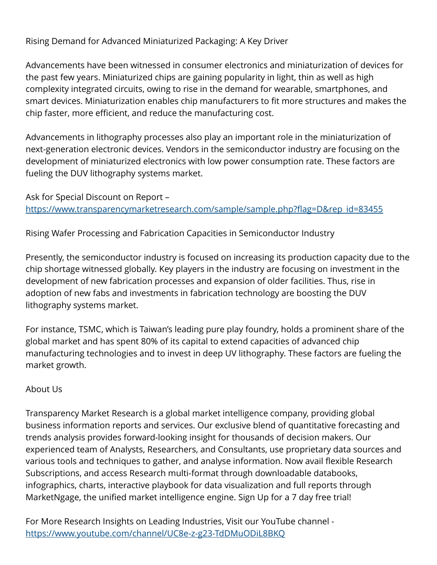## Rising Demand for Advanced Miniaturized Packaging: A Key Driver

Advancements have been witnessed in consumer electronics and miniaturization of devices for the past few years. Miniaturized chips are gaining popularity in light, thin as well as high complexity integrated circuits, owing to rise in the demand for wearable, smartphones, and smart devices. Miniaturization enables chip manufacturers to fit more structures and makes the chip faster, more efficient, and reduce the manufacturing cost.

Advancements in lithography processes also play an important role in the miniaturization of next-generation electronic devices. Vendors in the semiconductor industry are focusing on the development of miniaturized electronics with low power consumption rate. These factors are fueling the DUV lithography systems market.

Ask for Special Discount on Report – [https://www.transparencymarketresearch.com/sample/sample.php?flag=D&rep\\_id=83455](https://www.transparencymarketresearch.com/sample/sample.php?flag=D&rep_id=83455)

Rising Wafer Processing and Fabrication Capacities in Semiconductor Industry

Presently, the semiconductor industry is focused on increasing its production capacity due to the chip shortage witnessed globally. Key players in the industry are focusing on investment in the development of new fabrication processes and expansion of older facilities. Thus, rise in adoption of new fabs and investments in fabrication technology are boosting the DUV lithography systems market.

For instance, TSMC, which is Taiwan's leading pure play foundry, holds a prominent share of the global market and has spent 80% of its capital to extend capacities of advanced chip manufacturing technologies and to invest in deep UV lithography. These factors are fueling the market growth.

## About Us

Transparency Market Research is a global market intelligence company, providing global business information reports and services. Our exclusive blend of quantitative forecasting and trends analysis provides forward-looking insight for thousands of decision makers. Our experienced team of Analysts, Researchers, and Consultants, use proprietary data sources and various tools and techniques to gather, and analyse information. Now avail flexible Research Subscriptions, and access Research multi-format through downloadable databooks, infographics, charts, interactive playbook for data visualization and full reports through MarketNgage, the unified market intelligence engine. Sign Up for a 7 day free trial!

For More Research Insights on Leading Industries, Visit our YouTube channel <https://www.youtube.com/channel/UC8e-z-g23-TdDMuODiL8BKQ>